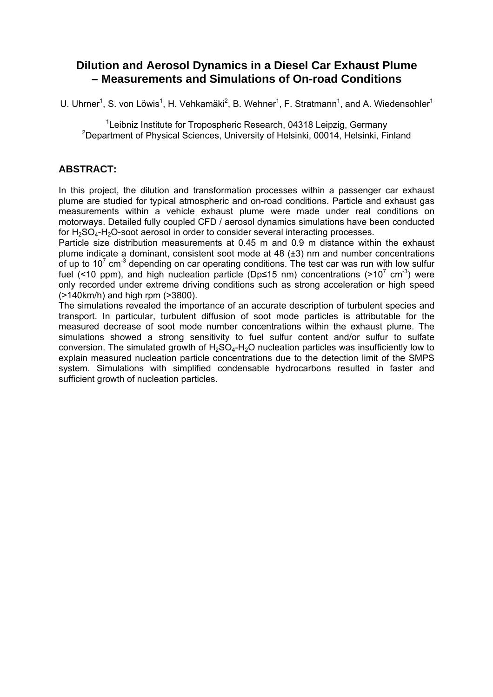### **Dilution and Aerosol Dynamics in a Diesel Car Exhaust Plume – Measurements and Simulations of On-road Conditions**

U. Uhrner<sup>1</sup>, S. von Löwis<sup>1</sup>, H. Vehkamäki<sup>2</sup>, B. Wehner<sup>1</sup>, F. Stratmann<sup>1</sup>, and A. Wiedensohler<sup>1</sup>

<sup>1</sup>Leibniz Institute for Tropospheric Research, 04318 Leipzig, Germany <sup>2</sup>Department of Physical Sciences, University of Helsinki, 00014, Helsinki, Finland

### **ABSTRACT:**

In this project, the dilution and transformation processes within a passenger car exhaust plume are studied for typical atmospheric and on-road conditions. Particle and exhaust gas measurements within a vehicle exhaust plume were made under real conditions on motorways. Detailed fully coupled CFD / aerosol dynamics simulations have been conducted for  $H_2SO_4-H_2O$ -soot aerosol in order to consider several interacting processes.

Particle size distribution measurements at 0.45 m and 0.9 m distance within the exhaust plume indicate a dominant, consistent soot mode at 48 (±3) nm and number concentrations of up to 10<sup>7</sup> cm<sup>-3</sup> depending on car operating conditions. The test car was run with low sulfur fuel (<10 ppm), and high nucleation particle (Dp≤15 nm) concentrations (>10<sup>7</sup> cm<sup>-3</sup>) were only recorded under extreme driving conditions such as strong acceleration or high speed (>140km/h) and high rpm (>3800).

The simulations revealed the importance of an accurate description of turbulent species and transport. In particular, turbulent diffusion of soot mode particles is attributable for the measured decrease of soot mode number concentrations within the exhaust plume. The simulations showed a strong sensitivity to fuel sulfur content and/or sulfur to sulfate conversion. The simulated growth of  $H_2SO_4-H_2O$  nucleation particles was insufficiently low to explain measured nucleation particle concentrations due to the detection limit of the SMPS system. Simulations with simplified condensable hydrocarbons resulted in faster and sufficient growth of nucleation particles.